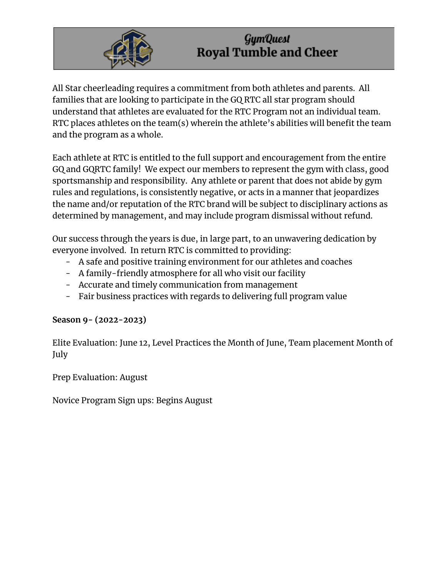

All Star cheerleading requires a commitment from both athletes and parents. All families that are looking to participate in the GQ RTC all star program should understand that athletes are evaluated for the RTC Program not an individual team. RTC places athletes on the team(s) wherein the athlete's abilities will benefit the team and the program as a whole.

Each athlete at RTC is entitled to the full support and encouragement from the entire GQ and GQRTC family! We expect our members to represent the gym with class, good sportsmanship and responsibility. Any athlete or parent that does not abide by gym rules and regulations, is consistently negative, or acts in a manner that jeopardizes the name and/or reputation of the RTC brand will be subject to disciplinary actions as determined by management, and may include program dismissal without refund.

Our success through the years is due, in large part, to an unwavering dedication by everyone involved. In return RTC is committed to providing:

- A safe and positive training environment for our athletes and coaches
- A family-friendly atmosphere for all who visit our facility
- Accurate and timely communication from management
- Fair business practices with regards to delivering full program value

#### **Season 9- (2022-2023)**

Elite Evaluation: June 12, Level Practices the Month of June, Team placement Month of July

Prep Evaluation: August

Novice Program Sign ups: Begins August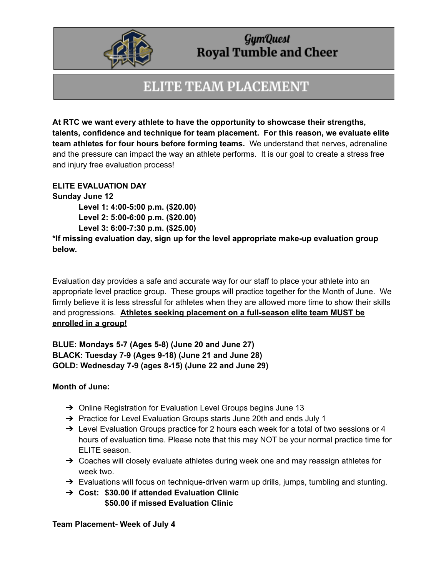

## **ELITE TEAM PLACEMENT**

**At RTC we want every athlete to have the opportunity to showcase their strengths, talents, confidence and technique for team placement. For this reason, we evaluate elite team athletes for four hours before forming teams.** We understand that nerves, adrenaline and the pressure can impact the way an athlete performs. It is our goal to create a stress free and injury free evaluation process!

**ELITE EVALUATION DAY**

**Sunday June 12 Level 1: 4:00-5:00 p.m. (\$20.00) Level 2: 5:00-6:00 p.m. (\$20.00)**

**Level 3: 6:00-7:30 p.m. (\$25.00)**

**\*If missing evaluation day, sign up for the level appropriate make-up evaluation group below.**

Evaluation day provides a safe and accurate way for our staff to place your athlete into an appropriate level practice group. These groups will practice together for the Month of June. We firmly believe it is less stressful for athletes when they are allowed more time to show their skills and progressions. **Athletes seeking placement on a full-season elite team MUST be enrolled in a group!**

**BLUE: Mondays 5-7 (Ages 5-8) (June 20 and June 27) BLACK: Tuesday 7-9 (Ages 9-18) (June 21 and June 28) GOLD: Wednesday 7-9 (ages 8-15) (June 22 and June 29)**

#### **Month of June:**

- → Online Registration for Evaluation Level Groups begins June 13
- → Practice for Level Evaluation Groups starts June 20th and ends July 1
- → Level Evaluation Groups practice for 2 hours each week for a total of two sessions or 4 hours of evaluation time. Please note that this may NOT be your normal practice time for ELITE season.
- $\rightarrow$  Coaches will closely evaluate athletes during week one and may reassign athletes for week two.
- → Evaluations will focus on technique-driven warm up drills, jumps, tumbling and stunting.
- ➔ **Cost: \$30.00 if attended Evaluation Clinic \$50.00 if missed Evaluation Clinic**

**Team Placement- Week of July 4**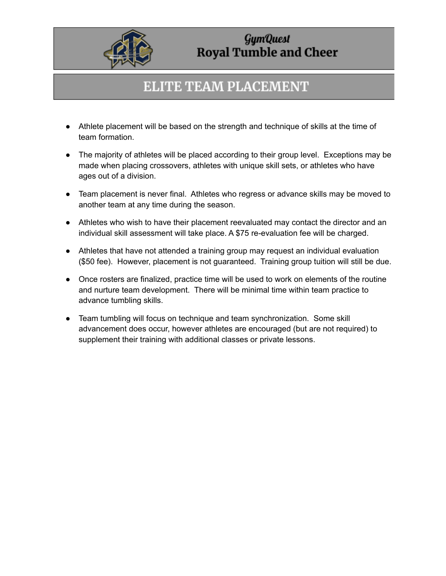

## **ELITE TEAM PLACEMENT**

- Athlete placement will be based on the strength and technique of skills at the time of team formation.
- The majority of athletes will be placed according to their group level. Exceptions may be made when placing crossovers, athletes with unique skill sets, or athletes who have ages out of a division.
- Team placement is never final. Athletes who regress or advance skills may be moved to another team at any time during the season.
- Athletes who wish to have their placement reevaluated may contact the director and an individual skill assessment will take place. A \$75 re-evaluation fee will be charged.
- Athletes that have not attended a training group may request an individual evaluation (\$50 fee). However, placement is not guaranteed. Training group tuition will still be due.
- Once rosters are finalized, practice time will be used to work on elements of the routine and nurture team development. There will be minimal time within team practice to advance tumbling skills.
- Team tumbling will focus on technique and team synchronization. Some skill advancement does occur, however athletes are encouraged (but are not required) to supplement their training with additional classes or private lessons.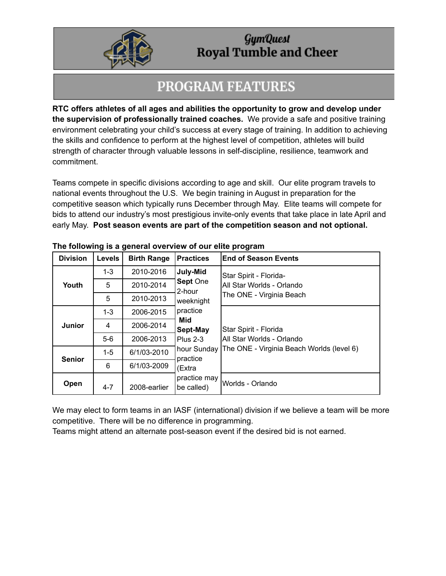

## **PROGRAM FEATURES**

**RTC offers athletes of all ages and abilities the opportunity to grow and develop under the supervision of professionally trained coaches.** We provide a safe and positive training environment celebrating your child's success at every stage of training. In addition to achieving the skills and confidence to perform at the highest level of competition, athletes will build strength of character through valuable lessons in self-discipline, resilience, teamwork and commitment.

Teams compete in specific divisions according to age and skill. Our elite program travels to national events throughout the U.S. We begin training in August in preparation for the competitive season which typically runs December through May. Elite teams will compete for bids to attend our industry's most prestigious invite-only events that take place in late April and early May. **Post season events are part of the competition season and not optional.**

| <b>Division</b> | <b>Levels</b> | <b>Birth Range</b> | <b>Practices</b>                                                                    | <b>End of Season Events</b>               |  |  |
|-----------------|---------------|--------------------|-------------------------------------------------------------------------------------|-------------------------------------------|--|--|
| Youth           | $1 - 3$       | 2010-2016          | July-Mid                                                                            | Star Spirit - Florida-                    |  |  |
|                 | 5             | 2010-2014          | Sept One<br>2-hour<br>weeknight                                                     | All Star Worlds - Orlando                 |  |  |
|                 | 5             | 2010-2013          |                                                                                     | The ONE - Virginia Beach                  |  |  |
| <b>Junior</b>   | $1 - 3$       | 2006-2015          | practice<br>Mid<br>Sept-May<br><b>Plus 2-3</b><br>hour Sunday<br>practice<br>(Extra |                                           |  |  |
|                 | 4             | 2006-2014          |                                                                                     | Star Spirit - Florida                     |  |  |
|                 | $5-6$         | 2006-2013          |                                                                                     | All Star Worlds - Orlando                 |  |  |
| <b>Senior</b>   | $1 - 5$       | 6/1/03-2010        |                                                                                     | The ONE - Virginia Beach Worlds (level 6) |  |  |
|                 | 6             | 6/1/03-2009        |                                                                                     |                                           |  |  |
| Open            | $4 - 7$       | 2008-earlier       | practice may<br>be called)                                                          | Worlds - Orlando                          |  |  |

#### **The following is a general overview of our elite program**

We may elect to form teams in an IASF (international) division if we believe a team will be more competitive. There will be no difference in programming.

Teams might attend an alternate post-season event if the desired bid is not earned.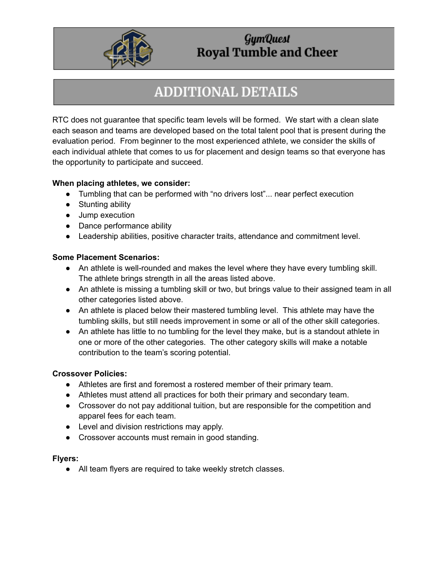

# **ADDITIONAL DETAILS**

RTC does not guarantee that specific team levels will be formed. We start with a clean slate each season and teams are developed based on the total talent pool that is present during the evaluation period. From beginner to the most experienced athlete, we consider the skills of each individual athlete that comes to us for placement and design teams so that everyone has the opportunity to participate and succeed.

#### **When placing athletes, we consider:**

- Tumbling that can be performed with "no drivers lost"... near perfect execution
- Stunting ability
- Jump execution
- Dance performance ability
- Leadership abilities, positive character traits, attendance and commitment level.

#### **Some Placement Scenarios:**

- An athlete is well-rounded and makes the level where they have every tumbling skill. The athlete brings strength in all the areas listed above.
- An athlete is missing a tumbling skill or two, but brings value to their assigned team in all other categories listed above.
- An athlete is placed below their mastered tumbling level. This athlete may have the tumbling skills, but still needs improvement in some or all of the other skill categories.
- An athlete has little to no tumbling for the level they make, but is a standout athlete in one or more of the other categories. The other category skills will make a notable contribution to the team's scoring potential.

#### **Crossover Policies:**

- Athletes are first and foremost a rostered member of their primary team.
- Athletes must attend all practices for both their primary and secondary team.
- Crossover do not pay additional tuition, but are responsible for the competition and apparel fees for each team.
- Level and division restrictions may apply.
- Crossover accounts must remain in good standing.

#### **Flyers:**

● All team flyers are required to take weekly stretch classes.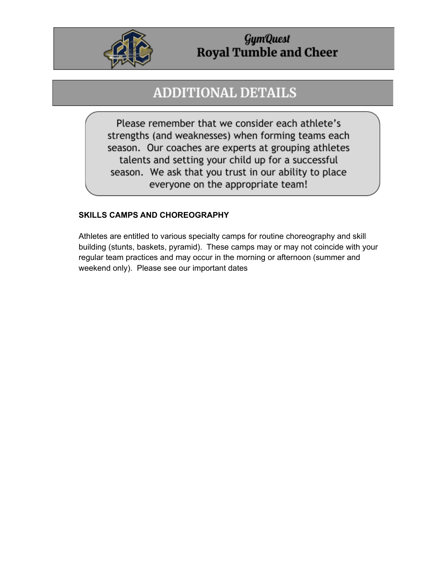

# **ADDITIONAL DETAILS**

Please remember that we consider each athlete's strengths (and weaknesses) when forming teams each season. Our coaches are experts at grouping athletes talents and setting your child up for a successful season. We ask that you trust in our ability to place everyone on the appropriate team!

#### **SKILLS CAMPS AND CHOREOGRAPHY**

Athletes are entitled to various specialty camps for routine choreography and skill building (stunts, baskets, pyramid). These camps may or may not coincide with your regular team practices and may occur in the morning or afternoon (summer and weekend only). Please see our important dates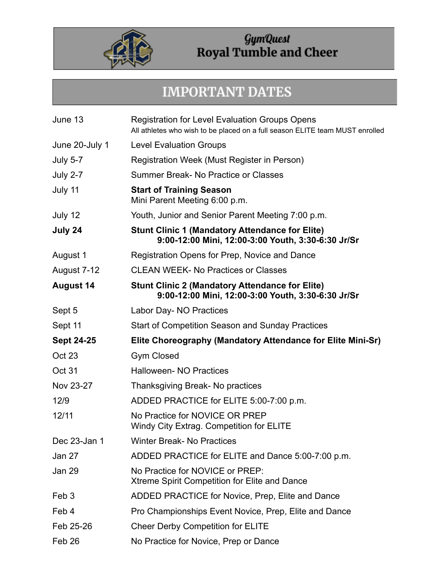

# **IMPORTANT DATES**

| June 13           | <b>Registration for Level Evaluation Groups Opens</b><br>All athletes who wish to be placed on a full season ELITE team MUST enrolled |
|-------------------|---------------------------------------------------------------------------------------------------------------------------------------|
| June 20-July 1    | <b>Level Evaluation Groups</b>                                                                                                        |
| <b>July 5-7</b>   | Registration Week (Must Register in Person)                                                                                           |
| <b>July 2-7</b>   | Summer Break- No Practice or Classes                                                                                                  |
| July 11           | <b>Start of Training Season</b><br>Mini Parent Meeting 6:00 p.m.                                                                      |
| July 12           | Youth, Junior and Senior Parent Meeting 7:00 p.m.                                                                                     |
| July 24           | <b>Stunt Clinic 1 (Mandatory Attendance for Elite)</b><br>9:00-12:00 Mini, 12:00-3:00 Youth, 3:30-6:30 Jr/Sr                          |
| August 1          | Registration Opens for Prep, Novice and Dance                                                                                         |
| August 7-12       | <b>CLEAN WEEK- No Practices or Classes</b>                                                                                            |
| <b>August 14</b>  | <b>Stunt Clinic 2 (Mandatory Attendance for Elite)</b><br>9:00-12:00 Mini, 12:00-3:00 Youth, 3:30-6:30 Jr/Sr                          |
| Sept 5            | Labor Day- NO Practices                                                                                                               |
| Sept 11           | Start of Competition Season and Sunday Practices                                                                                      |
| <b>Sept 24-25</b> | Elite Choreography (Mandatory Attendance for Elite Mini-Sr)                                                                           |
| Oct 23            | <b>Gym Closed</b>                                                                                                                     |
| Oct 31            | <b>Halloween- NO Practices</b>                                                                                                        |
| Nov 23-27         | Thanksgiving Break- No practices                                                                                                      |
| 12/9              | ADDED PRACTICE for ELITE 5:00-7:00 p.m.                                                                                               |
| 12/11             | No Practice for NOVICE OR PREP<br>Windy City Extrag. Competition for ELITE                                                            |
| Dec 23-Jan 1      | <b>Winter Break-No Practices</b>                                                                                                      |
| Jan 27            | ADDED PRACTICE for ELITE and Dance 5:00-7:00 p.m.                                                                                     |
| Jan 29            | No Practice for NOVICE or PREP:<br>Xtreme Spirit Competition for Elite and Dance                                                      |
| Feb <sub>3</sub>  | ADDED PRACTICE for Novice, Prep, Elite and Dance                                                                                      |
| Feb 4             | Pro Championships Event Novice, Prep, Elite and Dance                                                                                 |
| Feb 25-26         | <b>Cheer Derby Competition for ELITE</b>                                                                                              |
| Feb 26            | No Practice for Novice, Prep or Dance                                                                                                 |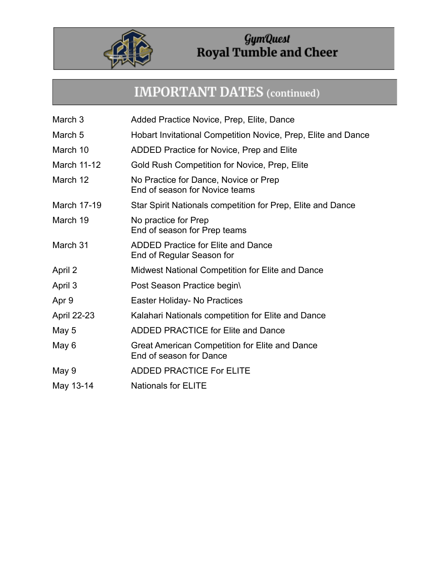

## **IMPORTANT DATES** (continued)

- March 3 Added Practice Novice, Prep, Elite, Dance
- March 5 **Hobart Invitational Competition Novice, Prep, Elite and Dance**
- March 10 ADDED Practice for Novice, Prep and Elite
- March 11-12 Gold Rush Competition for Novice, Prep, Elite
- March 12 No Practice for Dance, Novice or Prep End of season for Novice teams
- March 17-19 Star Spirit Nationals competition for Prep, Elite and Dance
- March 19 No practice for Prep End of season for Prep teams
- March 31 ADDED Practice for Elite and Dance End of Regular Season for
- April 2 Midwest National Competition for Elite and Dance
- April 3 **Post Season Practice begin**
- Apr 9 **Easter Holiday- No Practices**
- April 22-23 Kalahari Nationals competition for Elite and Dance
- May 5 **ADDED PRACTICE for Elite and Dance**
- May 6 **Great American Competition for Elite and Dance** End of season for Dance
- May 9 ADDED PRACTICE For ELITE
- May 13-14 Nationals for ELITE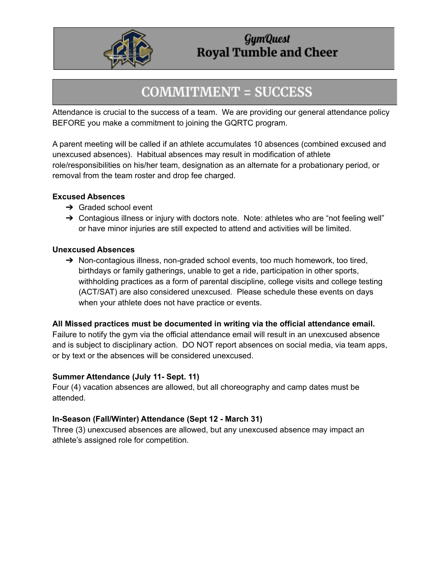

## **COMMITMENT = SUCCESS**

Attendance is crucial to the success of a team. We are providing our general attendance policy BEFORE you make a commitment to joining the GQRTC program.

A parent meeting will be called if an athlete accumulates 10 absences (combined excused and unexcused absences). Habitual absences may result in modification of athlete role/responsibilities on his/her team, designation as an alternate for a probationary period, or removal from the team roster and drop fee charged.

#### **Excused Absences**

- $\rightarrow$  Graded school event
- → Contagious illness or injury with doctors note. Note: athletes who are "not feeling well" or have minor injuries are still expected to attend and activities will be limited.

#### **Unexcused Absences**

→ Non-contagious illness, non-graded school events, too much homework, too tired, birthdays or family gatherings, unable to get a ride, participation in other sports, withholding practices as a form of parental discipline, college visits and college testing (ACT/SAT) are also considered unexcused. Please schedule these events on days when your athlete does not have practice or events.

#### **All Missed practices must be documented in writing via the official attendance email.**

Failure to notify the gym via the official attendance email will result in an unexcused absence and is subject to disciplinary action. DO NOT report absences on social media, via team apps, or by text or the absences will be considered unexcused.

#### **Summer Attendance (July 11- Sept. 11)**

Four (4) vacation absences are allowed, but all choreography and camp dates must be attended.

#### **In-Season (Fall/Winter) Attendance (Sept 12 - March 31)**

Three (3) unexcused absences are allowed, but any unexcused absence may impact an athlete's assigned role for competition.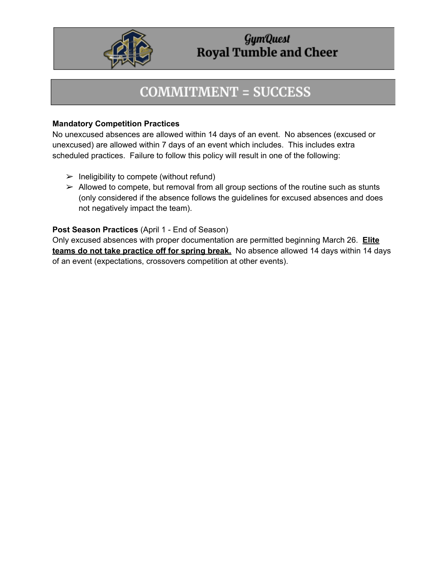

# **COMMITMENT = SUCCESS**

#### **Mandatory Competition Practices**

No unexcused absences are allowed within 14 days of an event. No absences (excused or unexcused) are allowed within 7 days of an event which includes. This includes extra scheduled practices. Failure to follow this policy will result in one of the following:

- $\triangleright$  Ineligibility to compete (without refund)
- $\triangleright$  Allowed to compete, but removal from all group sections of the routine such as stunts (only considered if the absence follows the guidelines for excused absences and does not negatively impact the team).

#### **Post Season Practices** (April 1 - End of Season)

Only excused absences with proper documentation are permitted beginning March 26. **Elite teams do not take practice off for spring break.** No absence allowed 14 days within 14 days of an event (expectations, crossovers competition at other events).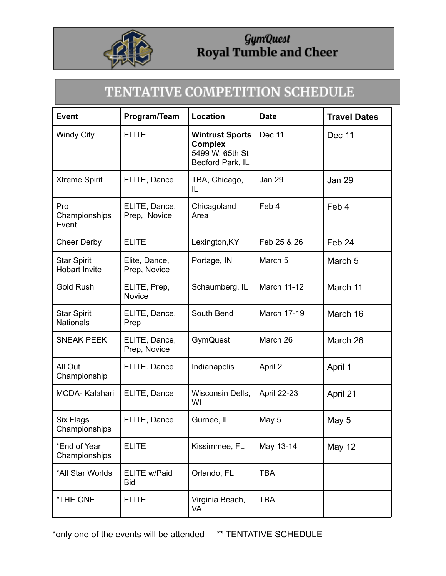

# TENTATIVE COMPETITION SCHEDULE

| <b>Event</b>                               | Program/Team                  | Location                                                                        | <b>Date</b>        | <b>Travel Dates</b> |
|--------------------------------------------|-------------------------------|---------------------------------------------------------------------------------|--------------------|---------------------|
| <b>Windy City</b>                          | <b>ELITE</b>                  | <b>Wintrust Sports</b><br><b>Complex</b><br>5499 W. 65th St<br>Bedford Park, IL | Dec 11             | Dec 11              |
| <b>Xtreme Spirit</b>                       | ELITE, Dance                  | TBA, Chicago,<br>IL                                                             | Jan 29             | <b>Jan 29</b>       |
| Pro<br>Championships<br>Event              | ELITE, Dance,<br>Prep, Novice | Chicagoland<br>Area                                                             | Feb 4              | Feb 4               |
| <b>Cheer Derby</b>                         | <b>ELITE</b>                  | Lexington, KY                                                                   | Feb 25 & 26        | Feb 24              |
| <b>Star Spirit</b><br><b>Hobart Invite</b> | Elite, Dance,<br>Prep, Novice | Portage, IN                                                                     | March <sub>5</sub> | March <sub>5</sub>  |
| <b>Gold Rush</b>                           | ELITE, Prep,<br><b>Novice</b> | Schaumberg, IL                                                                  | March 11-12        | March 11            |
| <b>Star Spirit</b><br><b>Nationals</b>     | ELITE, Dance,<br>Prep         | South Bend                                                                      | March 17-19        | March 16            |
| <b>SNEAK PEEK</b>                          | ELITE, Dance,<br>Prep, Novice | GymQuest                                                                        | March 26           | March 26            |
| All Out<br>Championship                    | ELITE. Dance                  | Indianapolis                                                                    | April 2            | April 1             |
| MCDA-Kalahari                              | ELITE, Dance                  | Wisconsin Dells,<br>WI                                                          | April 22-23        | April 21            |
| Six Flags<br>Championships                 | ELITE, Dance                  | Gurnee, IL                                                                      | May 5              | May 5               |
| *End of Year<br>Championships              | <b>ELITE</b>                  | Kissimmee, FL                                                                   | May 13-14          | <b>May 12</b>       |
| *All Star Worlds                           | ELITE w/Paid<br><b>Bid</b>    | Orlando, FL                                                                     | <b>TBA</b>         |                     |
| *THE ONE                                   | <b>ELITE</b>                  | Virginia Beach,<br>VA                                                           | <b>TBA</b>         |                     |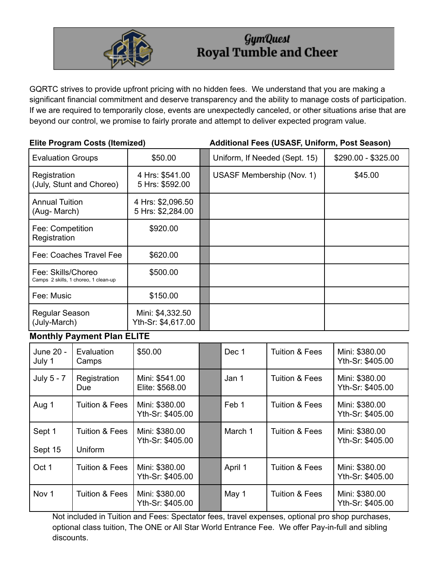

GQRTC strives to provide upfront pricing with no hidden fees. We understand that you are making a significant financial commitment and deserve transparency and the ability to manage costs of participation. If we are required to temporarily close, events are unexpectedly canceled, or other situations arise that are beyond our control, we promise to fairly prorate and attempt to deliver expected program value.

| <b>Elite Program Costs (Itemized)</b>    |                                      |                                        |  | Additional Fees (USASF, Uniform, Post Season) |                           |                                    |  |
|------------------------------------------|--------------------------------------|----------------------------------------|--|-----------------------------------------------|---------------------------|------------------------------------|--|
| <b>Evaluation Groups</b>                 |                                      | \$50.00                                |  | Uniform, If Needed (Sept. 15)                 |                           | \$290.00 - \$325.00                |  |
| Registration<br>(July, Stunt and Choreo) |                                      | 4 Hrs: \$541.00<br>5 Hrs: \$592.00     |  | USASF Membership (Nov. 1)                     |                           | \$45.00                            |  |
| <b>Annual Tuition</b><br>(Aug- March)    |                                      | 4 Hrs: \$2,096.50<br>5 Hrs: \$2,284.00 |  |                                               |                           |                                    |  |
| Fee: Competition<br>Registration         |                                      | \$920.00                               |  |                                               |                           |                                    |  |
|                                          | Fee: Coaches Travel Fee              | \$620.00                               |  |                                               |                           |                                    |  |
| Fee: Skills/Choreo                       | Camps 2 skills, 1 choreo, 1 clean-up | \$500.00                               |  |                                               |                           |                                    |  |
| Fee: Music                               |                                      | \$150.00                               |  |                                               |                           |                                    |  |
| Regular Season<br>(July-March)           |                                      | Mini: \$4,332.50<br>Yth-Sr: \$4,617.00 |  |                                               |                           |                                    |  |
|                                          | <b>Monthly Payment Plan ELITE</b>    |                                        |  |                                               |                           |                                    |  |
| June 20 -<br>July 1                      | Evaluation<br>Camps                  | \$50.00                                |  | Dec 1                                         | <b>Tuition &amp; Fees</b> | Mini: \$380.00<br>Yth-Sr: \$405.00 |  |
| July 5 - 7                               | Registration<br>Due                  | Mini: \$541.00<br>Elite: \$568.00      |  | Jan 1                                         | <b>Tuition &amp; Fees</b> | Mini: \$380.00<br>Yth-Sr: \$405.00 |  |
| Aug 1                                    | <b>Tuition &amp; Fees</b>            | Mini: \$380.00<br>Yth-Sr: \$405.00     |  | Feb 1                                         | <b>Tuition &amp; Fees</b> | Mini: \$380.00<br>Yth-Sr: \$405.00 |  |
| Sept 1<br>Sept 15                        | <b>Tuition &amp; Fees</b><br>Uniform | Mini: \$380.00<br>Yth-Sr: \$405.00     |  | March 1                                       | <b>Tuition &amp; Fees</b> | Mini: \$380.00<br>Yth-Sr: \$405.00 |  |
| Oct 1                                    | <b>Tuition &amp; Fees</b>            | Mini: \$380.00<br>Yth-Sr: \$405.00     |  | April 1                                       | <b>Tuition &amp; Fees</b> | Mini: \$380.00<br>Yth-Sr: \$405.00 |  |
| Nov <sub>1</sub>                         | <b>Tuition &amp; Fees</b>            | Mini: \$380.00<br>Yth-Sr: \$405.00     |  | May 1                                         | <b>Tuition &amp; Fees</b> | Mini: \$380.00<br>Yth-Sr: \$405.00 |  |

Not included in Tuition and Fees: Spectator fees, travel expenses, optional pro shop purchases, optional class tuition, The ONE or All Star World Entrance Fee. We offer Pay-in-full and sibling discounts.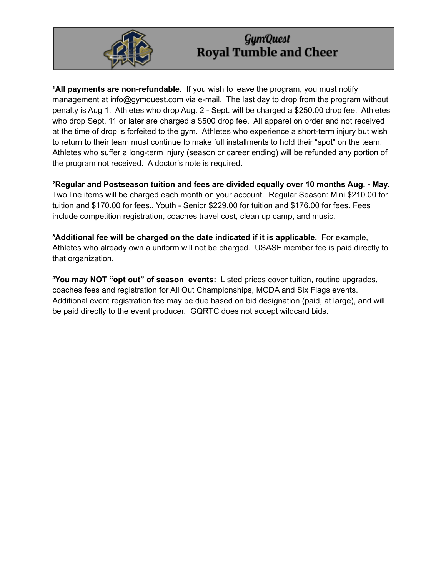

**All payments are non-refundable**. If you wish to leave the program, you must notify management at info@gymquest.com via e-mail. The last day to drop from the program without penalty is Aug 1. Athletes who drop Aug. 2 - Sept. will be charged a \$250.00 drop fee. Athletes who drop Sept. 11 or later are charged a \$500 drop fee. All apparel on order and not received at the time of drop is forfeited to the gym. Athletes who experience a short-term injury but wish to return to their team must continue to make full installments to hold their "spot" on the team. Athletes who suffer a long-term injury (season or career ending) will be refunded any portion of the program not received. A doctor's note is required.

**²Regular and Postseason tuition and fees are divided equally over 10 months Aug. - May.** Two line items will be charged each month on your account. Regular Season: Mini \$210.00 for tuition and \$170.00 for fees., Youth - Senior \$229.00 for tuition and \$176.00 for fees. Fees include competition registration, coaches travel cost, clean up camp, and music.

**³Additional fee will be charged on the date indicated if it is applicable.** For example, Athletes who already own a uniform will not be charged. USASF member fee is paid directly to that organization.

**<sup>4</sup>You may NOT "opt out" of season events:** Listed prices cover tuition, routine upgrades, coaches fees and registration for All Out Championships, MCDA and Six Flags events. Additional event registration fee may be due based on bid designation (paid, at large), and will be paid directly to the event producer. GQRTC does not accept wildcard bids.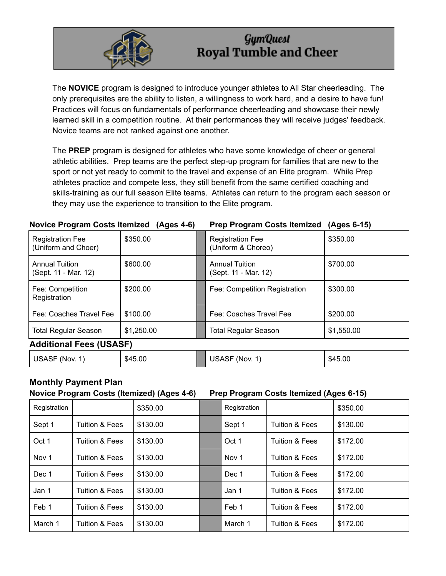

The **NOVICE** program is designed to introduce younger athletes to All Star cheerleading. The only prerequisites are the ability to listen, a willingness to work hard, and a desire to have fun! Practices will focus on fundamentals of performance cheerleading and showcase their newly learned skill in a competition routine. At their performances they will receive judges' feedback. Novice teams are not ranked against one another.

The **PREP** program is designed for athletes who have some knowledge of cheer or general athletic abilities. Prep teams are the perfect step-up program for families that are new to the sport or not yet ready to commit to the travel and expense of an Elite program. While Prep athletes practice and compete less, they still benefit from the same certified coaching and skills-training as our full season Elite teams. Athletes can return to the program each season or they may use the experience to transition to the Elite program.

#### **Novice Program Costs Itemized (Ages 4-6) Prep Program Costs Itemized (Ages 6-15)**

| <b>Registration Fee</b><br>(Uniform and Choer) | \$350.00   |  | <b>Registration Fee</b><br>(Uniform & Choreo) | \$350.00   |  |  |
|------------------------------------------------|------------|--|-----------------------------------------------|------------|--|--|
| <b>Annual Tuition</b><br>(Sept. 11 - Mar. 12)  | \$600.00   |  | <b>Annual Tuition</b><br>(Sept. 11 - Mar. 12) | \$700.00   |  |  |
| Fee: Competition<br>Registration               | \$200.00   |  | Fee: Competition Registration                 | \$300.00   |  |  |
| Fee: Coaches Travel Fee                        | \$100.00   |  | Fee: Coaches Travel Fee                       | \$200.00   |  |  |
| <b>Total Regular Season</b>                    | \$1,250.00 |  | <b>Total Regular Season</b>                   | \$1,550.00 |  |  |
| <b>Additional Fees (USASF)</b>                 |            |  |                                               |            |  |  |
| USASF (Nov. 1)                                 | \$45.00    |  | USASF (Nov. 1)                                | \$45.00    |  |  |

#### **Monthly Payment Plan Novice Program Costs (Itemized) (Ages 4-6) Prep Program Costs Itemized (Ages 6-15)**

| Registration     |                           | \$350.00 | Registration     |                           | \$350.00 |
|------------------|---------------------------|----------|------------------|---------------------------|----------|
| Sept 1           | Tuition & Fees            | \$130.00 | Sept 1           | <b>Tuition &amp; Fees</b> | \$130.00 |
| Oct 1            | <b>Tuition &amp; Fees</b> | \$130.00 | Oct 1            | <b>Tuition &amp; Fees</b> | \$172.00 |
| Nov <sub>1</sub> | Tuition & Fees            | \$130.00 | Nov <sub>1</sub> | <b>Tuition &amp; Fees</b> | \$172.00 |
| Dec 1            | Tuition & Fees            | \$130.00 | Dec 1            | <b>Tuition &amp; Fees</b> | \$172.00 |
| Jan 1            | Tuition & Fees            | \$130.00 | Jan 1            | <b>Tuition &amp; Fees</b> | \$172.00 |
| Feb 1            | Tuition & Fees            | \$130.00 | Feb 1            | Tuition & Fees            | \$172.00 |
| March 1          | <b>Tuition &amp; Fees</b> | \$130.00 | March 1          | <b>Tuition &amp; Fees</b> | \$172.00 |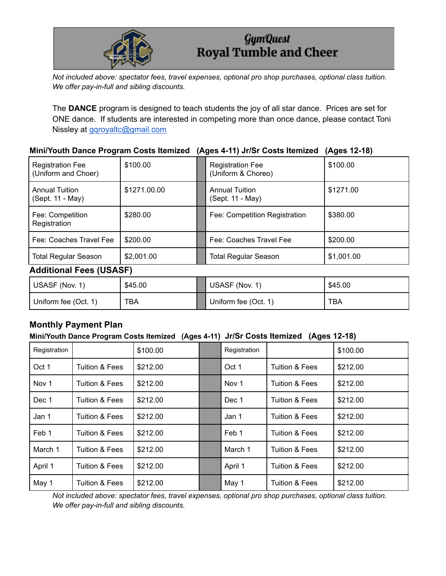

*Not included above: spectator fees, travel expenses, optional pro shop purchases, optional class tuition. We offer pay-in-full and sibling discounts.*

The **DANCE** program is designed to teach students the joy of all star dance. Prices are set for ONE dance. If students are interested in competing more than once dance, please contact Toni Nissley at [gqroyaltc@gmail.com](mailto:gqroyaltc@gmail.com)

#### **Mini/Youth Dance Program Costs Itemized (Ages 4-11) Jr/Sr Costs Itemized (Ages 12-18)**

| <b>Registration Fee</b><br>(Uniform and Choer) | \$100.00     |  | <b>Registration Fee</b><br>(Uniform & Choreo) | \$100.00   |  |  |
|------------------------------------------------|--------------|--|-----------------------------------------------|------------|--|--|
| <b>Annual Tuition</b><br>(Sept. 11 - May)      | \$1271,00.00 |  | <b>Annual Tuition</b><br>(Sept. 11 - May)     | \$1271.00  |  |  |
| Fee: Competition<br>Registration               | \$280.00     |  | Fee: Competition Registration                 | \$380.00   |  |  |
| Fee: Coaches Travel Fee                        | \$200.00     |  | Fee: Coaches Travel Fee                       | \$200.00   |  |  |
| <b>Total Regular Season</b>                    | \$2,001.00   |  | <b>Total Regular Season</b>                   | \$1,001.00 |  |  |
| <b>Additional Fees (USASF)</b>                 |              |  |                                               |            |  |  |
|                                                |              |  |                                               |            |  |  |

| USASF (Nov. 1)       | \$45.00 | USASF (Nov. 1)       | \$45.00 |
|----------------------|---------|----------------------|---------|
| Uniform fee (Oct. 1) | TBA     | Uniform fee (Oct. 1) | TBA     |

#### **Monthly Payment Plan**

#### **Mini/Youth Dance Program Costs Itemized (Ages 4-11) Jr/Sr Costs Itemized (Ages 12-18)**

| Registration |                           | \$100.00 | Registration |                           | \$100.00 |
|--------------|---------------------------|----------|--------------|---------------------------|----------|
| Oct 1        | Tuition & Fees            | \$212.00 | Oct 1        | <b>Tuition &amp; Fees</b> | \$212.00 |
| Nov 1        | Tuition & Fees            | \$212.00 | Nov 1        | <b>Tuition &amp; Fees</b> | \$212.00 |
| Dec 1        | Tuition & Fees            | \$212.00 | Dec 1        | Tuition & Fees            | \$212.00 |
| Jan 1        | <b>Tuition &amp; Fees</b> | \$212.00 | Jan 1        | <b>Tuition &amp; Fees</b> | \$212.00 |
| Feb 1        | Tuition & Fees            | \$212.00 | Feb 1        | <b>Tuition &amp; Fees</b> | \$212.00 |
| March 1      | <b>Tuition &amp; Fees</b> | \$212.00 | March 1      | <b>Tuition &amp; Fees</b> | \$212.00 |
| April 1      | Tuition & Fees            | \$212.00 | April 1      | <b>Tuition &amp; Fees</b> | \$212.00 |
| May 1        | <b>Tuition &amp; Fees</b> | \$212.00 | May 1        | <b>Tuition &amp; Fees</b> | \$212.00 |

*Not included above: spectator fees, travel expenses, optional pro shop purchases, optional class tuition. We offer pay-in-full and sibling discounts.*